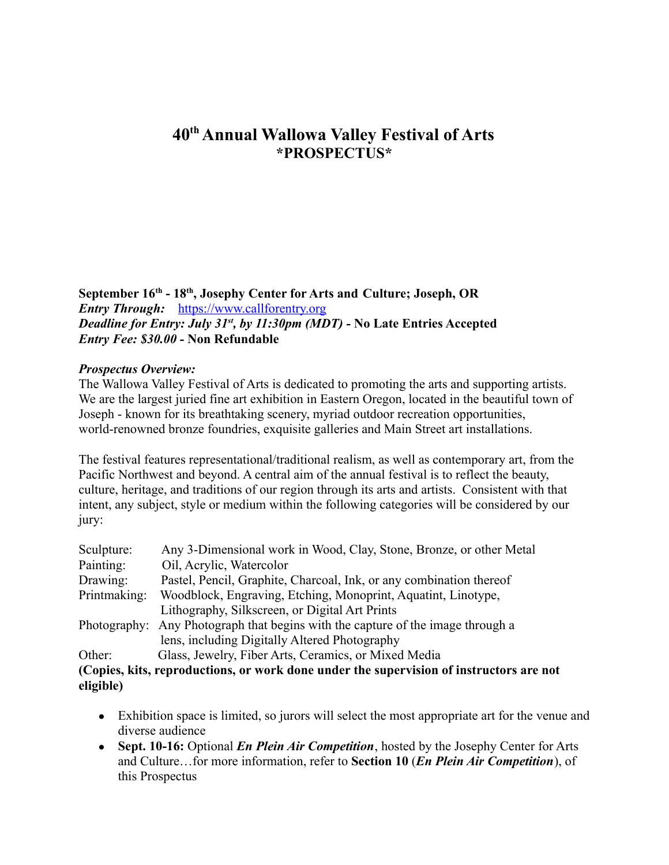# **40 th Annual Wallowa Valley Festival of Arts \*PROSPECTUS\***

**September 16th - 18th , Josephy Center for Arts and Culture; Joseph, OR** *Entry Through:* [https://www.callforentry.org](https://www.callforentry.org/) *Deadline for Entry: July 31st , by 11:30pm (MDT) -* **No Late Entries Accepted** *Entry Fee: \$30.00 -* **Non Refundable**

#### *Prospectus Overview:*

The Wallowa Valley Festival of Arts is dedicated to promoting the arts and supporting artists. We are the largest juried fine art exhibition in Eastern Oregon, located in the beautiful town of Joseph - known for its breathtaking scenery, myriad outdoor recreation opportunities, world-renowned bronze foundries, exquisite galleries and Main Street art installations.

The festival features representational/traditional realism, as well as contemporary art, from the Pacific Northwest and beyond. A central aim of the annual festival is to reflect the beauty, culture, heritage, and traditions of our region through its arts and artists. Consistent with that intent, any subject, style or medium within the following categories will be considered by our jury:

| Sculpture:   | Any 3-Dimensional work in Wood, Clay, Stone, Bronze, or other Metal                     |
|--------------|-----------------------------------------------------------------------------------------|
| Painting:    | Oil, Acrylic, Watercolor                                                                |
| Drawing:     | Pastel, Pencil, Graphite, Charcoal, Ink, or any combination thereof                     |
| Printmaking: | Woodblock, Engraving, Etching, Monoprint, Aquatint, Linotype,                           |
|              | Lithography, Silkscreen, or Digital Art Prints                                          |
|              | Photography: Any Photograph that begins with the capture of the image through a         |
|              | lens, including Digitally Altered Photography                                           |
| Other:       | Glass, Jewelry, Fiber Arts, Ceramics, or Mixed Media                                    |
|              | (Copies, kits, reproductions, or work done under the supervision of instructors are not |

**eligible)**

- Exhibition space is limited, so jurors will select the most appropriate art for the venue and diverse audience
- **Sept. 10-16:** Optional *En Plein Air Competition*, hosted by the Josephy Center for Arts and Culture…for more information, refer to **Section 10** (*En Plein Air Competition*), of this Prospectus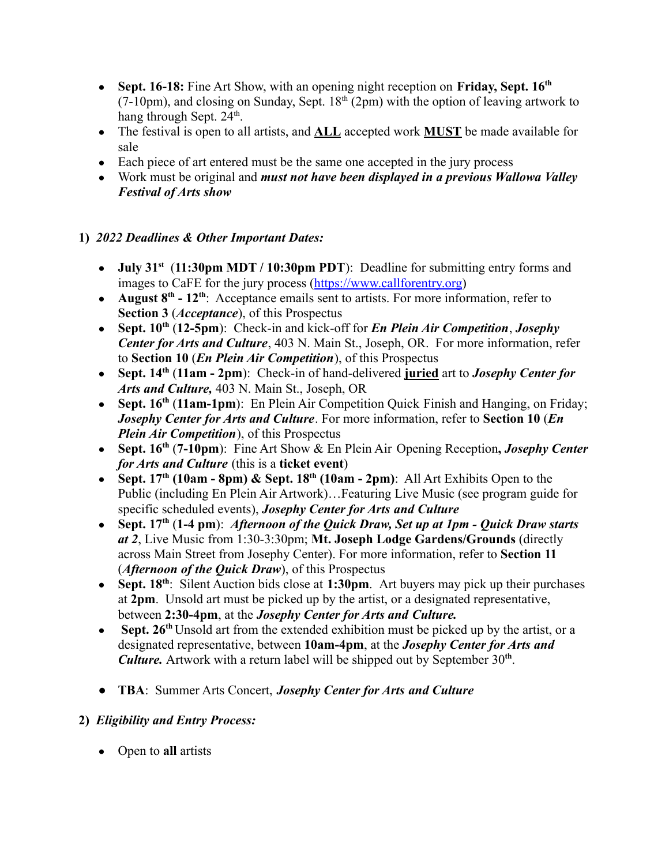- **Sept. 16-18:** Fine Art Show, with an opening night reception on **Friday, Sept. 16th**  $(7-10 \text{pm})$ , and closing on Sunday, Sept.  $18<sup>th</sup>$  (2pm) with the option of leaving artwork to hang through Sept. 24<sup>th</sup>.
- The festival is open to all artists, and **ALL** accepted work **MUST** be made available for sale
- Each piece of art entered must be the same one accepted in the jury process
- Work must be original and *must not have been displayed in a previous Wallowa Valley Festival of Arts show*

# **1)** *2022 Deadlines & Other Important Dates:*

- **July 31<sup>st</sup>** (11:30pm MDT / 10:30pm PDT): Deadline for submitting entry forms and images to CaFE for the jury process ([https://www.callforentry.org](https://www.callforentry.org/))
- August 8<sup>th</sup> 12<sup>th</sup>: Acceptance emails sent to artists. For more information, refer to **Section 3** (*Acceptance*), of this Prospectus
- **Sept. 10th** (**12-5pm**): Check-in and kick-off for *En Plein Air Competition*, *Josephy Center for Arts and Culture*, 403 N. Main St., Joseph, OR. For more information, refer to **Section 10** (*En Plein Air Competition*), of this Prospectus
- **Sept. 14th** (**11am 2pm**): Check-in of hand-delivered **juried** art to *Josephy Center for Arts and Culture,* 403 N. Main St., Joseph, OR
- **Sept. 16th** (**11am-1pm**): En Plein Air Competition Quick Finish and Hanging, on Friday; *Josephy Center for Arts and Culture*. For more information, refer to **Section 10** (*En Plein Air Competition*), of this Prospectus
- **Sept. 16th** (**7-10pm**): Fine Art Show & En Plein Air Opening Reception**,** *Josephy Center for Arts and Culture* (this is a **ticket event**)
- **Sept. 17th (10am 8pm) & Sept. 18th (10am - 2pm)**: All Art Exhibits Open to the Public (including En Plein Air Artwork)…Featuring Live Music (see program guide for specific scheduled events), *Josephy Center for Arts and Culture*
- **Sept. 17th** (**1-4 pm**): *Afternoon of the Quick Draw, Set up at 1pm Quick Draw starts at 2*, Live Music from 1:30-3:30pm; **Mt. Joseph Lodge Gardens/Grounds** (directly across Main Street from Josephy Center). For more information, refer to **Section 11** (*Afternoon of the Quick Draw*), of this Prospectus
- **Sept. 18th** : Silent Auction bids close at **1:30pm**. Art buyers may pick up their purchases at **2pm**. Unsold art must be picked up by the artist, or a designated representative, between **2:30-4pm**, at the *Josephy Center for Arts and Culture.*
- **Sept. 26<sup>th</sup>** Unsold art from the extended exhibition must be picked up by the artist, or a designated representative, between **10am-4pm**, at the *Josephy Center for Arts and Culture.* Artwork with a return label will be shipped out by September 30**th** .
- **TBA**: Summer Arts Concert, *Josephy Center for Arts and Culture*

# **2)** *Eligibility and Entry Process:*

● Open to **all** artists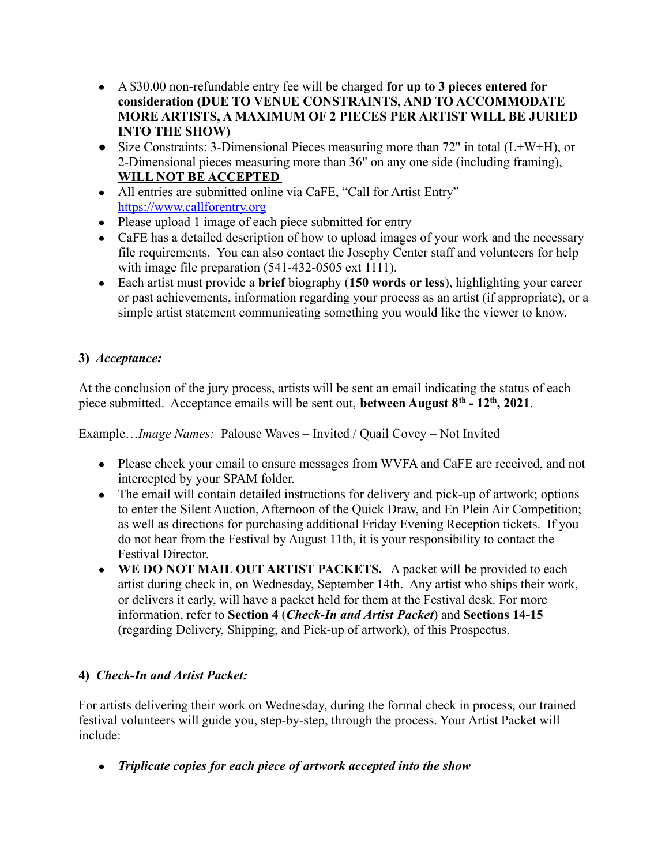- A \$30.00 non-refundable entry fee will be charged **for up to 3 pieces entered for consideration (DUE TO VENUE CONSTRAINTS, AND TO ACCOMMODATE MORE ARTISTS, A MAXIMUM OF 2 PIECES PER ARTIST WILL BE JURIED INTO THE SHOW)**
- **●** Size Constraints: 3-Dimensional Pieces measuring more than 72" in total (L+W+H), or 2-Dimensional pieces measuring more than 36" on any one side (including framing), **WILL NOT BE ACCEPTED**
- All entries are submitted online via CaFE, "Call for Artist Entry" [https://www.callforentry.org](https://www.callforentry.org/)
- Please upload 1 image of each piece submitted for entry
- CaFE has a detailed description of how to upload images of your work and the necessary file requirements. You can also contact the Josephy Center staff and volunteers for help with image file preparation (541-432-0505 ext 1111).
- Each artist must provide a **brief** biography (**150 words or less**), highlighting your career or past achievements, information regarding your process as an artist (if appropriate), or a simple artist statement communicating something you would like the viewer to know.

# **3)** *Acceptance:*

At the conclusion of the jury process, artists will be sent an email indicating the status of each piece submitted. Acceptance emails will be sent out, **between August 8th - 12th , 2021**.

Example…*Image Names:* Palouse Waves – Invited / Quail Covey – Not Invited

- Please check your email to ensure messages from WVFA and CaFE are received, and not intercepted by your SPAM folder.
- The email will contain detailed instructions for delivery and pick-up of artwork; options to enter the Silent Auction, Afternoon of the Quick Draw, and En Plein Air Competition; as well as directions for purchasing additional Friday Evening Reception tickets. If you do not hear from the Festival by August 11th, it is your responsibility to contact the Festival Director.
- **WE DO NOT MAIL OUT ARTIST PACKETS.** A packet will be provided to each artist during check in, on Wednesday, September 14th. Any artist who ships their work, or delivers it early, will have a packet held for them at the Festival desk. For more information, refer to **Section 4** (*Check-In and Artist Packet*) and **Sections 14-15** (regarding Delivery, Shipping, and Pick-up of artwork), of this Prospectus.

### **4)** *Check-In and Artist Packet:*

For artists delivering their work on Wednesday, during the formal check in process, our trained festival volunteers will guide you, step-by-step, through the process. Your Artist Packet will include:

● *Triplicate copies for each piece of artwork accepted into the show*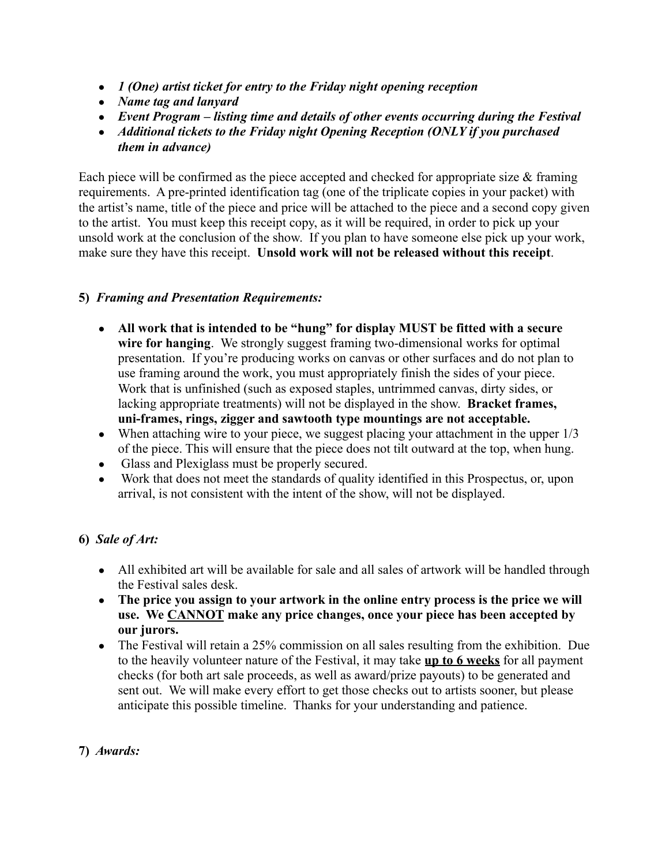- *1 (One) artist ticket for entry to the Friday night opening reception*
- *Name tag and lanyard*
- *Event Program listing time and details of other events occurring during the Festival*
- *Additional tickets to the Friday night Opening Reception (ONLY if you purchased them in advance)*

Each piece will be confirmed as the piece accepted and checked for appropriate size  $\&$  framing requirements. A pre-printed identification tag (one of the triplicate copies in your packet) with the artist's name, title of the piece and price will be attached to the piece and a second copy given to the artist. You must keep this receipt copy, as it will be required, in order to pick up your unsold work at the conclusion of the show. If you plan to have someone else pick up your work, make sure they have this receipt. **Unsold work will not be released without this receipt**.

#### **5)** *Framing and Presentation Requirements:*

- **All work that is intended to be "hung" for display MUST be fitted with a secure wire for hanging**. We strongly suggest framing two-dimensional works for optimal presentation. If you're producing works on canvas or other surfaces and do not plan to use framing around the work, you must appropriately finish the sides of your piece. Work that is unfinished (such as exposed staples, untrimmed canvas, dirty sides, or lacking appropriate treatments) will not be displayed in the show. **Bracket frames, uni-frames, rings, zigger and sawtooth type mountings are not acceptable.**
- When attaching wire to your piece, we suggest placing your attachment in the upper  $1/3$ of the piece. This will ensure that the piece does not tilt outward at the top, when hung.
- Glass and Plexiglass must be properly secured.
- Work that does not meet the standards of quality identified in this Prospectus, or, upon arrival, is not consistent with the intent of the show, will not be displayed.

### **6)** *Sale of Art:*

- All exhibited art will be available for sale and all sales of artwork will be handled through the Festival sales desk.
- **The price you assign to your artwork in the online entry process is the price we will use. We CANNOT make any price changes, once your piece has been accepted by our jurors.**
- The Festival will retain a 25% commission on all sales resulting from the exhibition. Due to the heavily volunteer nature of the Festival, it may take **up to 6 weeks** for all payment checks (for both art sale proceeds, as well as award/prize payouts) to be generated and sent out. We will make every effort to get those checks out to artists sooner, but please anticipate this possible timeline. Thanks for your understanding and patience.

### **7)** *Awards:*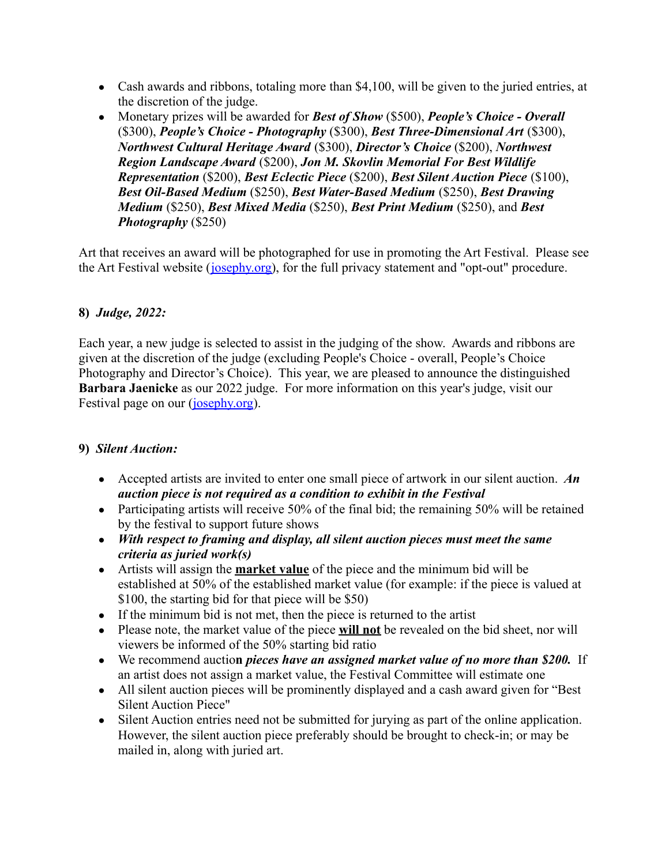- Cash awards and ribbons, totaling more than \$4,100, will be given to the juried entries, at the discretion of the judge.
- Monetary prizes will be awarded for *Best of Show* (\$500), *People's Choice Overall* (\$300), *People's Choice - Photography* (\$300), *Best Three-Dimensional Art* (\$300), *Northwest Cultural Heritage Award* (\$300), *Director's Choice* (\$200), *Northwest Region Landscape Award* (\$200), *Jon M. Skovlin Memorial For Best Wildlife Representation* (\$200), *Best Eclectic Piece* (\$200), *Best Silent Auction Piece* (\$100), *Best Oil-Based Medium* (\$250), *Best Water-Based Medium* (\$250), *Best Drawing Medium* (\$250), *Best Mixed Media* (\$250), *Best Print Medium* (\$250), and *Best Photography* (\$250)

Art that receives an award will be photographed for use in promoting the Art Festival. Please see the Art Festival website (*josephy.org*), for the full privacy statement and "opt-out" procedure.

### **8)** *Judge, 2022:*

Each year, a new judge is selected to assist in the judging of the show. Awards and ribbons are given at the discretion of the judge (excluding People's Choice - overall, People's Choice Photography and Director's Choice). This year, we are pleased to announce the distinguished **Barbara Jaenicke** as our 2022 judge. For more information on this year's judge, visit our Festival page on our ([josephy.org\)](https://josephy.org).

#### **9)** *Silent Auction:*

- Accepted artists are invited to enter one small piece of artwork in our silent auction. *An auction piece is not required as a condition to exhibit in the Festival*
- Participating artists will receive 50% of the final bid; the remaining 50% will be retained by the festival to support future shows
- *With respect to framing and display, all silent auction pieces must meet the same criteria as juried work(s)*
- Artists will assign the **market value** of the piece and the minimum bid will be established at 50% of the established market value (for example: if the piece is valued at \$100, the starting bid for that piece will be \$50)
- If the minimum bid is not met, then the piece is returned to the artist
- Please note, the market value of the piece **will not** be revealed on the bid sheet, nor will viewers be informed of the 50% starting bid ratio
- We recommend auctio**n** *pieces have an assigned market value of no more than \$200.* If an artist does not assign a market value, the Festival Committee will estimate one
- All silent auction pieces will be prominently displayed and a cash award given for "Best" Silent Auction Piece"
- Silent Auction entries need not be submitted for jurying as part of the online application. However, the silent auction piece preferably should be brought to check-in; or may be mailed in, along with juried art.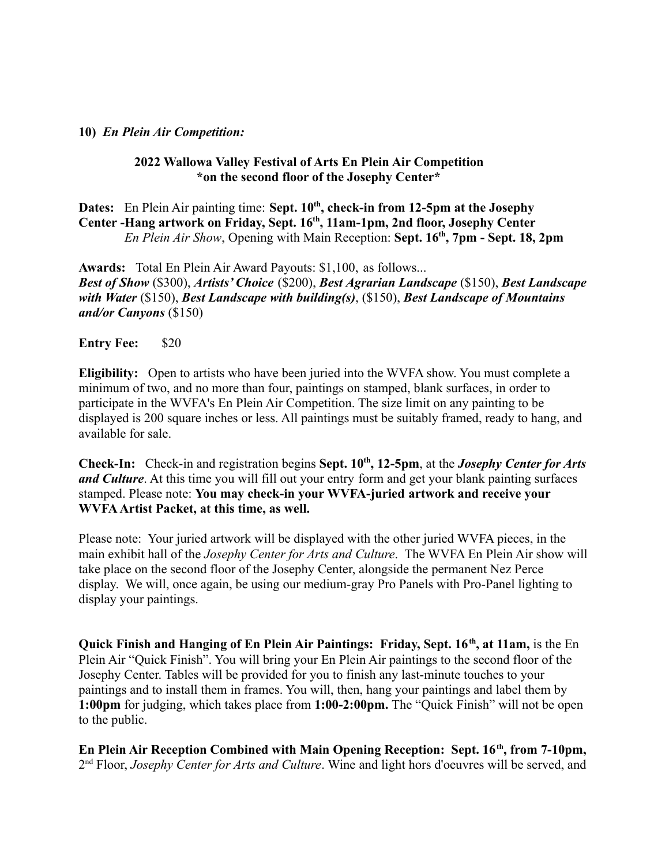#### **10)** *En Plein Air Competition:*

#### **2022 Wallowa Valley Festival of Arts En Plein Air Competition \*on the second floor of the Josephy Center\***

**Dates:** En Plein Air painting time: **Sept. 10th , check-in from 12-5pm at the Josephy Center -Hang artwork on Friday, Sept. 16th , 11am-1pm, 2nd floor, Josephy Center** *En Plein Air Show*, Opening with Main Reception: **Sept. 16th , 7pm - Sept. 18, 2pm**

**Awards:** Total En Plein Air Award Payouts: \$1,100, as follows... *Best of Show* (\$300), *Artists' Choice* (\$200), *Best Agrarian Landscape* (\$150), *Best Landscape with Water* (\$150), *Best Landscape with building(s)*, (\$150), *Best Landscape of Mountains and/or Canyons* (\$150)

**Entry Fee:** \$20

**Eligibility:** Open to artists who have been juried into the WVFA show. You must complete a minimum of two, and no more than four, paintings on stamped, blank surfaces, in order to participate in the WVFA's En Plein Air Competition. The size limit on any painting to be displayed is 200 square inches or less. All paintings must be suitably framed, ready to hang, and available for sale.

**Check-In:** Check-in and registration begins **Sept. 10th , 12-5pm**, at the *Josephy Center for Arts and Culture*. At this time you will fill out your entry form and get your blank painting surfaces stamped. Please note: **You may check-in your WVFA-juried artwork and receive your WVFAArtist Packet, at this time, as well.**

Please note: Your juried artwork will be displayed with the other juried WVFA pieces, in the main exhibit hall of the *Josephy Center for Arts and Culture*. The WVFA En Plein Air show will take place on the second floor of the Josephy Center, alongside the permanent Nez Perce display. We will, once again, be using our medium-gray Pro Panels with Pro-Panel lighting to display your paintings.

**Quick Finish and Hanging of En Plein Air Paintings: Friday, Sept. 16<sup>th</sup>, at 11am, is the En** Plein Air "Quick Finish". You will bring your En Plein Air paintings to the second floor of the Josephy Center. Tables will be provided for you to finish any last-minute touches to your paintings and to install them in frames. You will, then, hang your paintings and label them by **1:00pm** for judging, which takes place from **1:00-2:00pm.** The "Quick Finish" will not be open to the public.

**En Plein Air Reception Combined with Main Opening Reception: Sept. 16th , from 7-10pm,** 2<sup>nd</sup> Floor, *Josephy Center for Arts and Culture*. Wine and light hors d'oeuvres will be served, and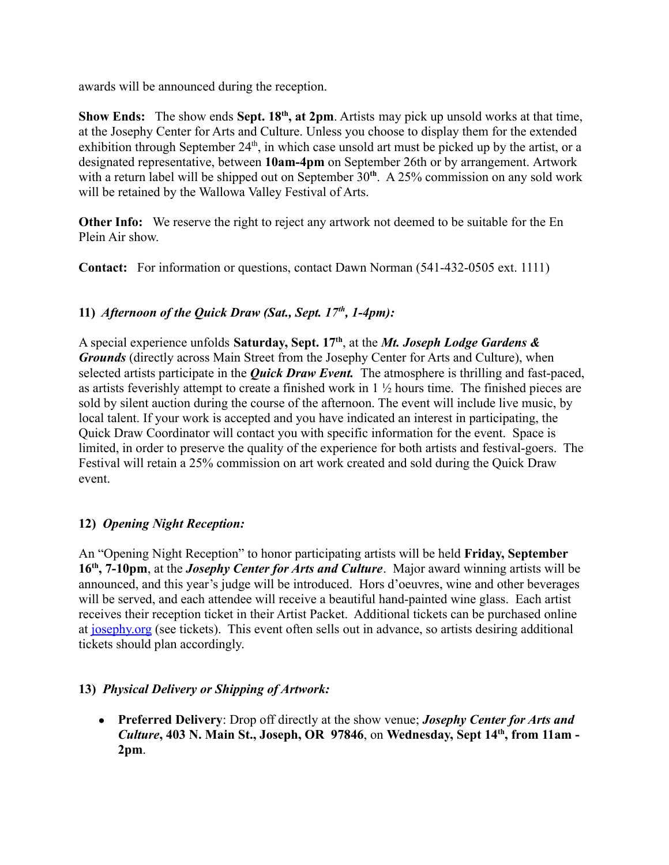awards will be announced during the reception.

**Show Ends:** The show ends Sept. 18<sup>th</sup>, at 2pm. Artists may pick up unsold works at that time, at the Josephy Center for Arts and Culture. Unless you choose to display them for the extended exhibition through September  $24<sup>th</sup>$ , in which case unsold art must be picked up by the artist, or a designated representative, between **10am-4pm** on September 26th or by arrangement. Artwork with a return label will be shipped out on September 30<sup>th</sup>. A 25% commission on any sold work will be retained by the Wallowa Valley Festival of Arts.

**Other Info:** We reserve the right to reject any artwork not deemed to be suitable for the En Plein Air show.

**Contact:** For information or questions, contact Dawn Norman (541-432-0505 ext. 1111)

# **11)** *Afternoon of the Quick Draw (Sat., Sept. 17th , 1-4pm):*

A special experience unfolds **Saturday, Sept. 17th** , at the *Mt. Joseph Lodge Gardens & Grounds* (directly across Main Street from the Josephy Center for Arts and Culture), when selected artists participate in the *Quick Draw Event.* The atmosphere is thrilling and fast-paced, as artists feverishly attempt to create a finished work in 1 ½ hours time. The finished pieces are sold by silent auction during the course of the afternoon. The event will include live music, by local talent. If your work is accepted and you have indicated an interest in participating, the Quick Draw Coordinator will contact you with specific information for the event. Space is limited, in order to preserve the quality of the experience for both artists and festival-goers. The Festival will retain a 25% commission on art work created and sold during the Quick Draw event.

### **12)** *Opening Night Reception:*

An "Opening Night Reception" to honor participating artists will be held **Friday, September 16th , 7-10pm**, at the *Josephy Center for Arts and Culture*. Major award winning artists will be announced, and this year's judge will be introduced. Hors d'oeuvres, wine and other beverages will be served, and each attendee will receive a beautiful hand-painted wine glass. Each artist receives their reception ticket in their Artist Packet. Additional tickets can be purchased online at [josephy.org](https://josephy.org) (see tickets). This event often sells out in advance, so artists desiring additional tickets should plan accordingly.

### **13)** *Physical Delivery or Shipping of Artwork:*

● **Preferred Delivery**: Drop off directly at the show venue; *Josephy Center for Arts and Culture***, 403 N. Main St., Joseph, OR 97846**, on **Wednesday, Sept 14th , from 11am - 2pm**.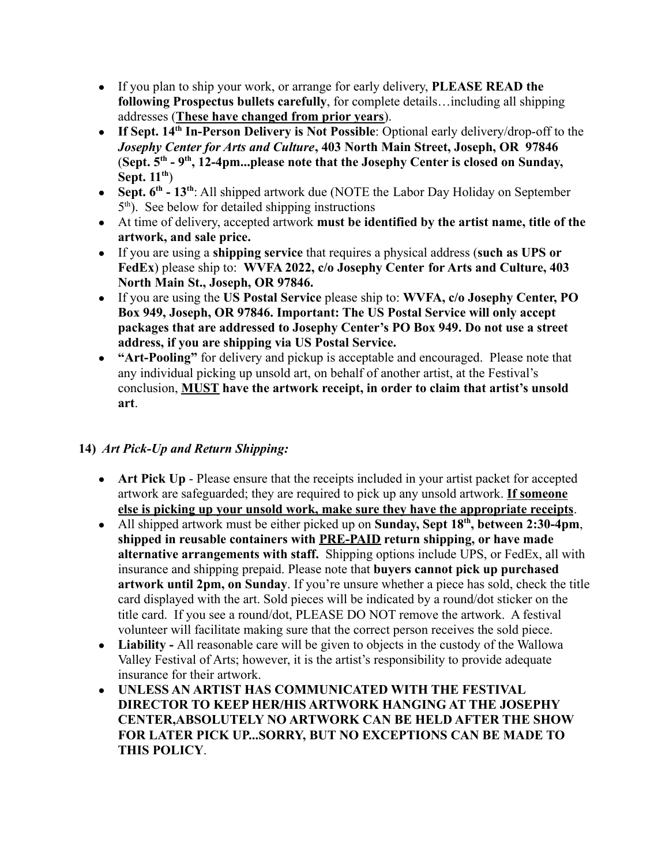- If you plan to ship your work, or arrange for early delivery, **PLEASE READ the following Prospectus bullets carefully**, for complete details…including all shipping addresses (**These have changed from prior years**).
- **If Sept. 14th In-Person Delivery is Not Possible**: Optional early delivery/drop-off to the *Josephy Center for Arts and Culture***, 403 North Main Street, Joseph, OR 97846** (**Sept. 5th - 9th , 12-4pm...please note that the Josephy Center is closed on Sunday, Sept. 11 th** )
- Sept.  $6^{th}$  13<sup>th</sup>: All shipped artwork due (NOTE the Labor Day Holiday on September 5 th ). See below for detailed shipping instructions
- At time of delivery, accepted artwork **must be identified by the artist name, title of the artwork, and sale price.**
- If you are using a **shipping service** that requires a physical address (**such as UPS or FedEx**) please ship to: **WVFA 2022, c/o Josephy Center for Arts and Culture, 403 North Main St., Joseph, OR 97846.**
- If you are using the **US Postal Service** please ship to: **WVFA, c/o Josephy Center, PO Box 949, Joseph, OR 97846. Important: The US Postal Service will only accept packages that are addressed to Josephy Center's PO Box 949. Do not use a street address, if you are shipping via US Postal Service.**
- **"Art-Pooling"** for delivery and pickup is acceptable and encouraged. Please note that any individual picking up unsold art, on behalf of another artist, at the Festival's conclusion, **MUST have the artwork receipt, in order to claim that artist's unsold art**.

### **14)** *Art Pick-Up and Return Shipping:*

- **Art Pick Up** Please ensure that the receipts included in your artist packet for accepted artwork are safeguarded; they are required to pick up any unsold artwork. **If someone else is picking up your unsold work, make sure they have the appropriate receipts**.
- All shipped artwork must be either picked up on **Sunday, Sept 18th , between 2:30-4pm**, **shipped in reusable containers with PRE-PAID return shipping, or have made alternative arrangements with staff.** Shipping options include UPS, or FedEx, all with insurance and shipping prepaid. Please note that **buyers cannot pick up purchased artwork until 2pm, on Sunday**. If you're unsure whether a piece has sold, check the title card displayed with the art. Sold pieces will be indicated by a round/dot sticker on the title card. If you see a round/dot, PLEASE DO NOT remove the artwork. A festival volunteer will facilitate making sure that the correct person receives the sold piece.
- **Liability -** All reasonable care will be given to objects in the custody of the Wallowa Valley Festival of Arts; however, it is the artist's responsibility to provide adequate insurance for their artwork.
- **UNLESS AN ARTIST HAS COMMUNICATED WITH THE FESTIVAL DIRECTOR TO KEEP HER/HIS ARTWORK HANGING AT THE JOSEPHY CENTER,ABSOLUTELY NO ARTWORK CAN BE HELD AFTER THE SHOW FOR LATER PICK UP...SORRY, BUT NO EXCEPTIONS CAN BE MADE TO THIS POLICY**.